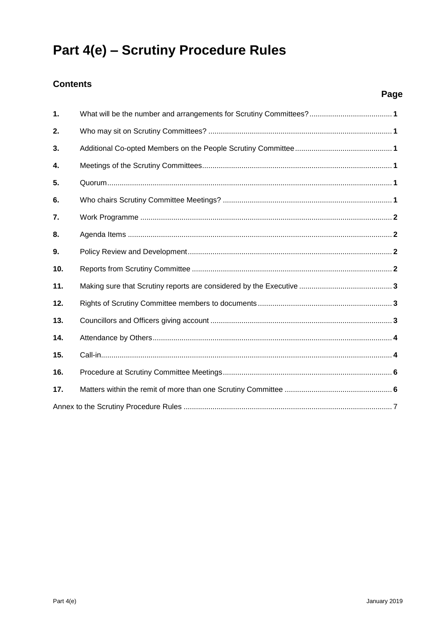# Part 4(e) - Scrutiny Procedure Rules

# **Contents**

| 1.  |  |
|-----|--|
| 2.  |  |
| 3.  |  |
| 4.  |  |
| 5.  |  |
| 6.  |  |
| 7.  |  |
| 8.  |  |
| 9.  |  |
| 10. |  |
| 11. |  |
| 12. |  |
| 13. |  |
| 14. |  |
| 15. |  |
| 16. |  |
| 17. |  |
|     |  |

Page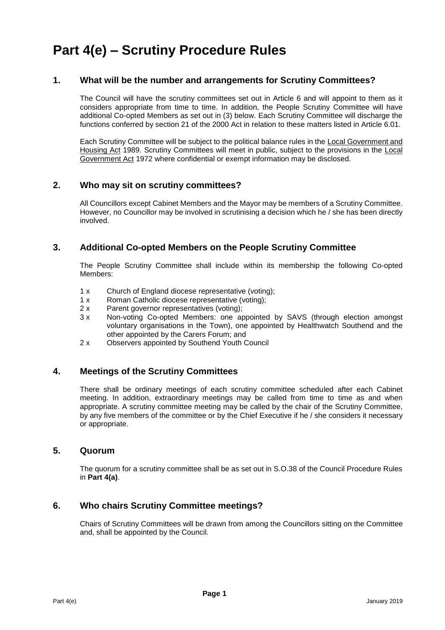# **Part 4(e) – Scrutiny Procedure Rules**

#### **1. What will be the number and arrangements for Scrutiny Committees?**

The Council will have the scrutiny committees set out in Article 6 and will appoint to them as it considers appropriate from time to time. In addition, the People Scrutiny Committee will have additional Co-opted Members as set out in (3) below. Each Scrutiny Committee will discharge the functions conferred by section 21 of the 2000 Act in relation to these matters listed in Article 6.01.

Each Scrutiny Committee will be subject to the political balance rules in the Local Government and Housing Act 1989. Scrutiny Committees will meet in public, subject to the provisions in the Local Government Act 1972 where confidential or exempt information may be disclosed.

#### **2. Who may sit on scrutiny committees?**

All Councillors except Cabinet Members and the Mayor may be members of a Scrutiny Committee. However, no Councillor may be involved in scrutinising a decision which he / she has been directly involved.

#### **3. Additional Co-opted Members on the People Scrutiny Committee**

The People Scrutiny Committee shall include within its membership the following Co-opted Members:

- 1 x Church of England diocese representative (voting);
- 1 x Roman Catholic diocese representative (voting);
- 2 x Parent governor representatives (voting);
- 3 x Non-voting Co-opted Members: one appointed by SAVS (through election amongst voluntary organisations in the Town), one appointed by Healthwatch Southend and the other appointed by the Carers Forum; and
- 2 x Observers appointed by Southend Youth Council

#### **4. Meetings of the Scrutiny Committees**

There shall be ordinary meetings of each scrutiny committee scheduled after each Cabinet meeting. In addition, extraordinary meetings may be called from time to time as and when appropriate. A scrutiny committee meeting may be called by the chair of the Scrutiny Committee, by any five members of the committee or by the Chief Executive if he / she considers it necessary or appropriate.

#### **5. Quorum**

The quorum for a scrutiny committee shall be as set out in S.O.38 of the Council Procedure Rules in **Part 4(a)**.

#### **6. Who chairs Scrutiny Committee meetings?**

Chairs of Scrutiny Committees will be drawn from among the Councillors sitting on the Committee and, shall be appointed by the Council.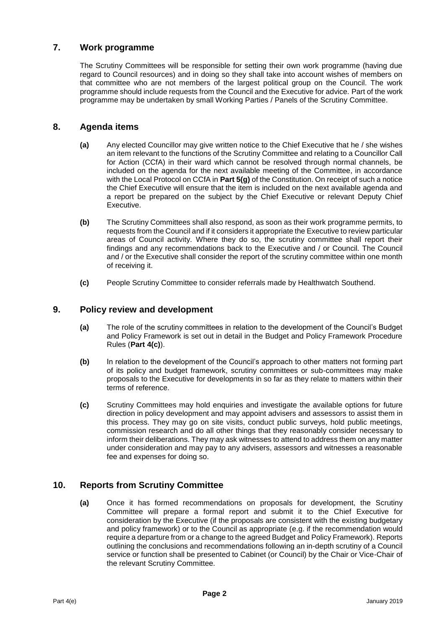# **7. Work programme**

The Scrutiny Committees will be responsible for setting their own work programme (having due regard to Council resources) and in doing so they shall take into account wishes of members on that committee who are not members of the largest political group on the Council. The work programme should include requests from the Council and the Executive for advice. Part of the work programme may be undertaken by small Working Parties / Panels of the Scrutiny Committee.

#### **8. Agenda items**

- **(a)** Any elected Councillor may give written notice to the Chief Executive that he / she wishes an item relevant to the functions of the Scrutiny Committee and relating to a Councillor Call for Action (CCfA) in their ward which cannot be resolved through normal channels, be included on the agenda for the next available meeting of the Committee, in accordance with the Local Protocol on CCfA in **Part 5(g)** of the Constitution. On receipt of such a notice the Chief Executive will ensure that the item is included on the next available agenda and a report be prepared on the subject by the Chief Executive or relevant Deputy Chief Executive.
- **(b)** The Scrutiny Committees shall also respond, as soon as their work programme permits, to requests from the Council and if it considers it appropriate the Executive to review particular areas of Council activity. Where they do so, the scrutiny committee shall report their findings and any recommendations back to the Executive and / or Council. The Council and / or the Executive shall consider the report of the scrutiny committee within one month of receiving it.
- **(c)** People Scrutiny Committee to consider referrals made by Healthwatch Southend.

#### **9. Policy review and development**

- **(a)** The role of the scrutiny committees in relation to the development of the Council's Budget and Policy Framework is set out in detail in the Budget and Policy Framework Procedure Rules (**Part 4(c)**).
- **(b)** In relation to the development of the Council's approach to other matters not forming part of its policy and budget framework, scrutiny committees or sub-committees may make proposals to the Executive for developments in so far as they relate to matters within their terms of reference.
- **(c)** Scrutiny Committees may hold enquiries and investigate the available options for future direction in policy development and may appoint advisers and assessors to assist them in this process. They may go on site visits, conduct public surveys, hold public meetings, commission research and do all other things that they reasonably consider necessary to inform their deliberations. They may ask witnesses to attend to address them on any matter under consideration and may pay to any advisers, assessors and witnesses a reasonable fee and expenses for doing so.

# **10. Reports from Scrutiny Committee**

**(a)** Once it has formed recommendations on proposals for development, the Scrutiny Committee will prepare a formal report and submit it to the Chief Executive for consideration by the Executive (if the proposals are consistent with the existing budgetary and policy framework) or to the Council as appropriate (e.g. if the recommendation would require a departure from or a change to the agreed Budget and Policy Framework). Reports outlining the conclusions and recommendations following an in-depth scrutiny of a Council service or function shall be presented to Cabinet (or Council) by the Chair or Vice-Chair of the relevant Scrutiny Committee.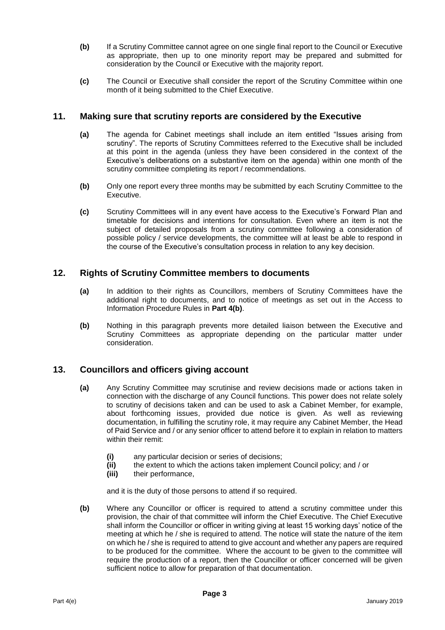- **(b)** If a Scrutiny Committee cannot agree on one single final report to the Council or Executive as appropriate, then up to one minority report may be prepared and submitted for consideration by the Council or Executive with the majority report.
- **(c)** The Council or Executive shall consider the report of the Scrutiny Committee within one month of it being submitted to the Chief Executive.

#### **11. Making sure that scrutiny reports are considered by the Executive**

- **(a)** The agenda for Cabinet meetings shall include an item entitled "Issues arising from scrutiny". The reports of Scrutiny Committees referred to the Executive shall be included at this point in the agenda (unless they have been considered in the context of the Executive's deliberations on a substantive item on the agenda) within one month of the scrutiny committee completing its report / recommendations.
- **(b)** Only one report every three months may be submitted by each Scrutiny Committee to the Executive.
- **(c)** Scrutiny Committees will in any event have access to the Executive's Forward Plan and timetable for decisions and intentions for consultation. Even where an item is not the subject of detailed proposals from a scrutiny committee following a consideration of possible policy / service developments, the committee will at least be able to respond in the course of the Executive's consultation process in relation to any key decision.

#### **12. Rights of Scrutiny Committee members to documents**

- **(a)** In addition to their rights as Councillors, members of Scrutiny Committees have the additional right to documents, and to notice of meetings as set out in the Access to Information Procedure Rules in **Part 4(b)**.
- **(b)** Nothing in this paragraph prevents more detailed liaison between the Executive and Scrutiny Committees as appropriate depending on the particular matter under consideration.

#### **13. Councillors and officers giving account**

- **(a)** Any Scrutiny Committee may scrutinise and review decisions made or actions taken in connection with the discharge of any Council functions. This power does not relate solely to scrutiny of decisions taken and can be used to ask a Cabinet Member, for example, about forthcoming issues, provided due notice is given. As well as reviewing documentation, in fulfilling the scrutiny role, it may require any Cabinet Member, the Head of Paid Service and / or any senior officer to attend before it to explain in relation to matters within their remit:
	- **(i)** any particular decision or series of decisions;
	- **(ii)** the extent to which the actions taken implement Council policy; and / or
	- **(iii)** their performance,

and it is the duty of those persons to attend if so required.

**(b)** Where any Councillor or officer is required to attend a scrutiny committee under this provision, the chair of that committee will inform the Chief Executive. The Chief Executive shall inform the Councillor or officer in writing giving at least 15 working days' notice of the meeting at which he / she is required to attend. The notice will state the nature of the item on which he / she is required to attend to give account and whether any papers are required to be produced for the committee. Where the account to be given to the committee will require the production of a report, then the Councillor or officer concerned will be given sufficient notice to allow for preparation of that documentation.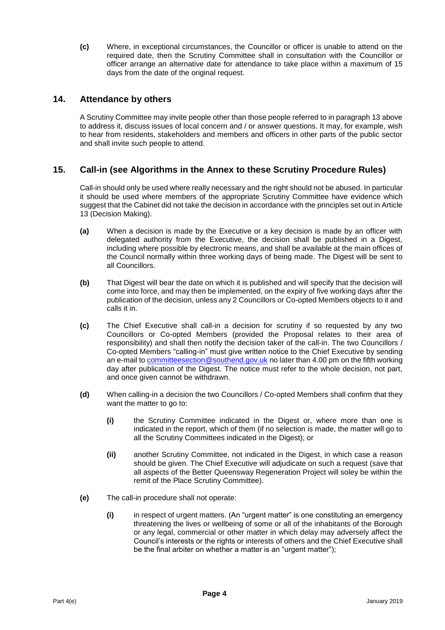**(c)** Where, in exceptional circumstances, the Councillor or officer is unable to attend on the required date, then the Scrutiny Committee shall in consultation with the Councillor or officer arrange an alternative date for attendance to take place within a maximum of 15 days from the date of the original request.

#### **14. Attendance by others**

A Scrutiny Committee may invite people other than those people referred to in paragraph 13 above to address it, discuss issues of local concern and / or answer questions. It may, for example, wish to hear from residents, stakeholders and members and officers in other parts of the public sector and shall invite such people to attend.

# **15. Call-in (see Algorithms in the Annex to these Scrutiny Procedure Rules)**

Call-in should only be used where really necessary and the right should not be abused. In particular it should be used where members of the appropriate Scrutiny Committee have evidence which suggest that the Cabinet did not take the decision in accordance with the principles set out in Article 13 (Decision Making).

- **(a)** When a decision is made by the Executive or a key decision is made by an officer with delegated authority from the Executive, the decision shall be published in a Digest, including where possible by electronic means, and shall be available at the main offices of the Council normally within three working days of being made. The Digest will be sent to all Councillors.
- **(b)** That Digest will bear the date on which it is published and will specify that the decision will come into force, and may then be implemented, on the expiry of five working days after the publication of the decision, unless any 2 Councillors or Co-opted Members objects to it and calls it in.
- **(c)** The Chief Executive shall call-in a decision for scrutiny if so requested by any two Councillors or Co-opted Members (provided the Proposal relates to their area of responsibility) and shall then notify the decision taker of the call-in. The two Councillors / Co-opted Members "calling-in" must give written notice to the Chief Executive by sending an e-mail to [committeesection@southend.gov.uk](mailto:committeesection@southend.gov.uk) no later than 4.00 pm on the fifth working day after publication of the Digest. The notice must refer to the whole decision, not part, and once given cannot be withdrawn.
- **(d)** When calling-in a decision the two Councillors / Co-opted Members shall confirm that they want the matter to go to:
	- **(i)** the Scrutiny Committee indicated in the Digest or, where more than one is indicated in the report, which of them (if no selection is made, the matter will go to all the Scrutiny Committees indicated in the Digest); or
	- **(ii)** another Scrutiny Committee, not indicated in the Digest, in which case a reason should be given. The Chief Executive will adjudicate on such a request (save that all aspects of the Better Queensway Regeneration Project will soley be within the remit of the Place Scrutiny Committee).
- **(e)** The call-in procedure shall not operate:
	- **(i)** in respect of urgent matters. (An "urgent matter" is one constituting an emergency threatening the lives or wellbeing of some or all of the inhabitants of the Borough or any legal, commercial or other matter in which delay may adversely affect the Council's interests or the rights or interests of others and the Chief Executive shall be the final arbiter on whether a matter is an "urgent matter");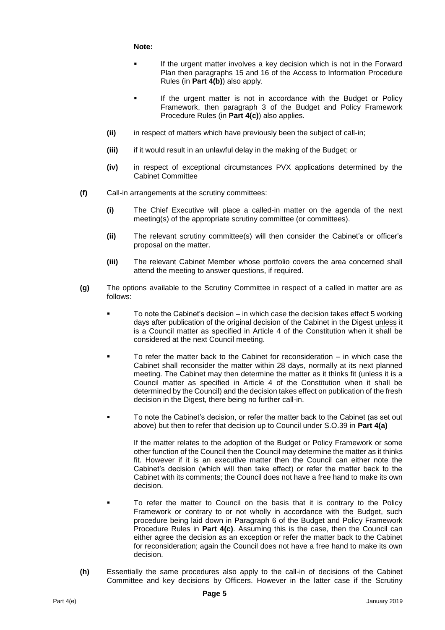**Note:**

- If the urgent matter involves a key decision which is not in the Forward Plan then paragraphs 15 and 16 of the Access to Information Procedure Rules (in **Part 4(b)**) also apply.
- **If the urgent matter is not in accordance with the Budget or Policy** Framework, then paragraph 3 of the Budget and Policy Framework Procedure Rules (in **Part 4(c)**) also applies.
- **(ii)** in respect of matters which have previously been the subject of call-in;
- **(iii)** if it would result in an unlawful delay in the making of the Budget; or
- **(iv)** in respect of exceptional circumstances PVX applications determined by the Cabinet Committee
- **(f)** Call-in arrangements at the scrutiny committees:
	- **(i)** The Chief Executive will place a called-in matter on the agenda of the next meeting(s) of the appropriate scrutiny committee (or committees).
	- **(ii)** The relevant scrutiny committee(s) will then consider the Cabinet's or officer's proposal on the matter.
	- **(iii)** The relevant Cabinet Member whose portfolio covers the area concerned shall attend the meeting to answer questions, if required.
- **(g)** The options available to the Scrutiny Committee in respect of a called in matter are as follows:
	- To note the Cabinet's decision in which case the decision takes effect 5 working days after publication of the original decision of the Cabinet in the Digest unless it is a Council matter as specified in Article 4 of the Constitution when it shall be considered at the next Council meeting.
	- To refer the matter back to the Cabinet for reconsideration in which case the Cabinet shall reconsider the matter within 28 days, normally at its next planned meeting. The Cabinet may then determine the matter as it thinks fit (unless it is a Council matter as specified in Article 4 of the Constitution when it shall be determined by the Council) and the decision takes effect on publication of the fresh decision in the Digest, there being no further call-in.
	- To note the Cabinet's decision, or refer the matter back to the Cabinet (as set out above) but then to refer that decision up to Council under S.O.39 in **Part 4(a)**

If the matter relates to the adoption of the Budget or Policy Framework or some other function of the Council then the Council may determine the matter as it thinks fit. However if it is an executive matter then the Council can either note the Cabinet's decision (which will then take effect) or refer the matter back to the Cabinet with its comments; the Council does not have a free hand to make its own decision.

- To refer the matter to Council on the basis that it is contrary to the Policy Framework or contrary to or not wholly in accordance with the Budget, such procedure being laid down in Paragraph 6 of the Budget and Policy Framework Procedure Rules in **Part 4(c)**. Assuming this is the case, then the Council can either agree the decision as an exception or refer the matter back to the Cabinet for reconsideration; again the Council does not have a free hand to make its own decision.
- **(h)** Essentially the same procedures also apply to the call-in of decisions of the Cabinet Committee and key decisions by Officers. However in the latter case if the Scrutiny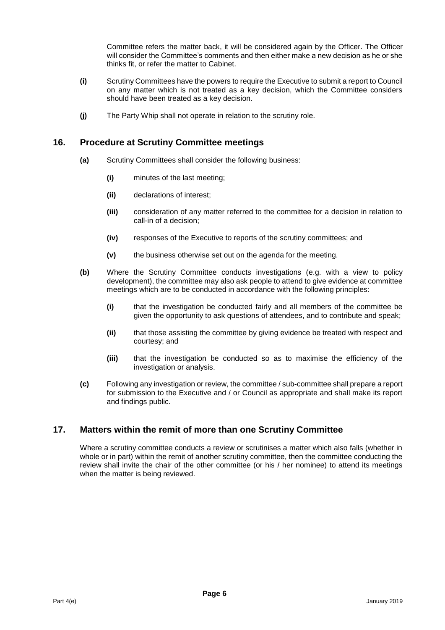Committee refers the matter back, it will be considered again by the Officer. The Officer will consider the Committee's comments and then either make a new decision as he or she thinks fit, or refer the matter to Cabinet.

- **(i)** Scrutiny Committees have the powers to require the Executive to submit a report to Council on any matter which is not treated as a key decision, which the Committee considers should have been treated as a key decision.
- **(j)** The Party Whip shall not operate in relation to the scrutiny role.

#### **16. Procedure at Scrutiny Committee meetings**

- **(a)** Scrutiny Committees shall consider the following business:
	- **(i)** minutes of the last meeting;
	- **(ii)** declarations of interest;
	- **(iii)** consideration of any matter referred to the committee for a decision in relation to call-in of a decision;
	- **(iv)** responses of the Executive to reports of the scrutiny committees; and
	- **(v)** the business otherwise set out on the agenda for the meeting.
- **(b)** Where the Scrutiny Committee conducts investigations (e.g. with a view to policy development), the committee may also ask people to attend to give evidence at committee meetings which are to be conducted in accordance with the following principles:
	- **(i)** that the investigation be conducted fairly and all members of the committee be given the opportunity to ask questions of attendees, and to contribute and speak;
	- **(ii)** that those assisting the committee by giving evidence be treated with respect and courtesy; and
	- **(iii)** that the investigation be conducted so as to maximise the efficiency of the investigation or analysis.
- **(c)** Following any investigation or review, the committee / sub-committee shall prepare a report for submission to the Executive and / or Council as appropriate and shall make its report and findings public.

# **17. Matters within the remit of more than one Scrutiny Committee**

Where a scrutiny committee conducts a review or scrutinises a matter which also falls (whether in whole or in part) within the remit of another scrutiny committee, then the committee conducting the review shall invite the chair of the other committee (or his / her nominee) to attend its meetings when the matter is being reviewed.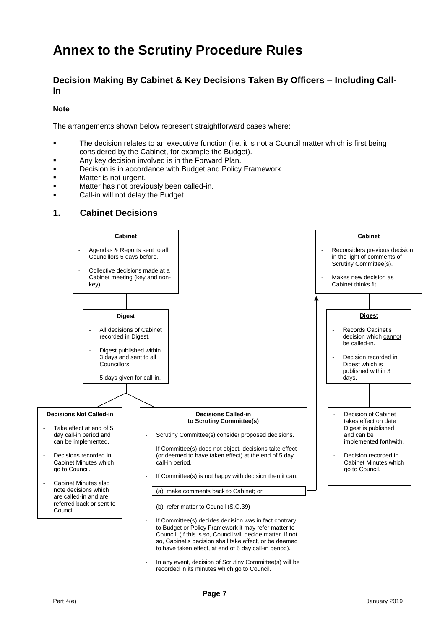# **Annex to the Scrutiny Procedure Rules**

# **Decision Making By Cabinet & Key Decisions Taken By Officers – Including Call-In**

#### **Note**

The arrangements shown below represent straightforward cases where:

- The decision relates to an executive function (i.e. it is not a Council matter which is first being considered by the Cabinet, for example the Budget).
- Any key decision involved is in the Forward Plan.
- Decision is in accordance with Budget and Policy Framework.
- Matter is not urgent.
- Matter has not previously been called-in.
- Call-in will not delay the Budget.

#### **1. Cabinet Decisions**